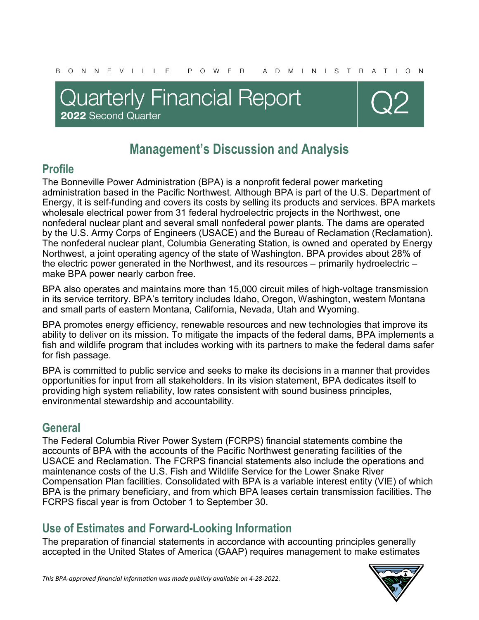## **Quarterly Financial Report** 2022 Second Quarter



## **Management's Discussion and Analysis**

## **Profile**

The Bonneville Power Administration (BPA) is a nonprofit federal power marketing administration based in the Pacific Northwest. Although BPA is part of the U.S. Department of Energy, it is self-funding and covers its costs by selling its products and services. BPA markets wholesale electrical power from 31 federal hydroelectric projects in the Northwest, one nonfederal nuclear plant and several small nonfederal power plants. The dams are operated by the U.S. Army Corps of Engineers (USACE) and the Bureau of Reclamation (Reclamation). The nonfederal nuclear plant, Columbia Generating Station, is owned and operated by Energy Northwest, a joint operating agency of the state of Washington. BPA provides about 28% of the electric power generated in the Northwest, and its resources – primarily hydroelectric – make BPA power nearly carbon free.

BPA also operates and maintains more than 15,000 circuit miles of high-voltage transmission in its service territory. BPA's territory includes Idaho, Oregon, Washington, western Montana and small parts of eastern Montana, California, Nevada, Utah and Wyoming.

BPA promotes energy efficiency, renewable resources and new technologies that improve its ability to deliver on its mission. To mitigate the impacts of the federal dams, BPA implements a fish and wildlife program that includes working with its partners to make the federal dams safer for fish passage.

BPA is committed to public service and seeks to make its decisions in a manner that provides opportunities for input from all stakeholders. In its vision statement, BPA dedicates itself to providing high system reliability, low rates consistent with sound business principles, environmental stewardship and accountability.

## **General**

The Federal Columbia River Power System (FCRPS) financial statements combine the accounts of BPA with the accounts of the Pacific Northwest generating facilities of the USACE and Reclamation. The FCRPS financial statements also include the operations and maintenance costs of the U.S. Fish and Wildlife Service for the Lower Snake River Compensation Plan facilities. Consolidated with BPA is a variable interest entity (VIE) of which BPA is the primary beneficiary, and from which BPA leases certain transmission facilities. The FCRPS fiscal year is from October 1 to September 30.

## **Use of Estimates and Forward-Looking Information**

The preparation of financial statements in accordance with accounting principles generally accepted in the United States of America (GAAP) requires management to make estimates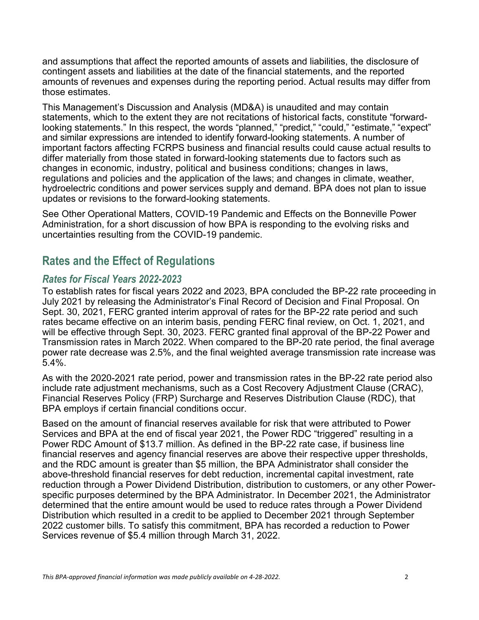and assumptions that affect the reported amounts of assets and liabilities, the disclosure of contingent assets and liabilities at the date of the financial statements, and the reported amounts of revenues and expenses during the reporting period. Actual results may differ from those estimates.

This Management's Discussion and Analysis (MD&A) is unaudited and may contain statements, which to the extent they are not recitations of historical facts, constitute "forwardlooking statements." In this respect, the words "planned," "predict," "could," "estimate," "expect" and similar expressions are intended to identify forward-looking statements. A number of important factors affecting FCRPS business and financial results could cause actual results to differ materially from those stated in forward-looking statements due to factors such as changes in economic, industry, political and business conditions; changes in laws, regulations and policies and the application of the laws; and changes in climate, weather, hydroelectric conditions and power services supply and demand. BPA does not plan to issue updates or revisions to the forward-looking statements.

See Other Operational Matters, COVID-19 Pandemic and Effects on the Bonneville Power Administration, for a short discussion of how BPA is responding to the evolving risks and uncertainties resulting from the COVID-19 pandemic.

## **Rates and the Effect of Regulations**

#### *Rates for Fiscal Years 2022-2023*

To establish rates for fiscal years 2022 and 2023, BPA concluded the BP-22 rate proceeding in July 2021 by releasing the Administrator's Final Record of Decision and Final Proposal. On Sept. 30, 2021, FERC granted interim approval of rates for the BP-22 rate period and such rates became effective on an interim basis, pending FERC final review, on Oct. 1, 2021, and will be effective through Sept. 30, 2023. FERC granted final approval of the BP-22 Power and Transmission rates in March 2022. When compared to the BP-20 rate period, the final average power rate decrease was 2.5%, and the final weighted average transmission rate increase was 5.4%.

As with the 2020-2021 rate period, power and transmission rates in the BP-22 rate period also include rate adjustment mechanisms, such as a Cost Recovery Adjustment Clause (CRAC), Financial Reserves Policy (FRP) Surcharge and Reserves Distribution Clause (RDC), that BPA employs if certain financial conditions occur.

Based on the amount of financial reserves available for risk that were attributed to Power Services and BPA at the end of fiscal year 2021, the Power RDC "triggered" resulting in a Power RDC Amount of \$13.7 million. As defined in the BP-22 rate case, if business line financial reserves and agency financial reserves are above their respective upper thresholds, and the RDC amount is greater than \$5 million, the BPA Administrator shall consider the above-threshold financial reserves for debt reduction, incremental capital investment, rate reduction through a Power Dividend Distribution, distribution to customers, or any other Powerspecific purposes determined by the BPA Administrator. In December 2021, the Administrator determined that the entire amount would be used to reduce rates through a Power Dividend Distribution which resulted in a credit to be applied to December 2021 through September 2022 customer bills. To satisfy this commitment, BPA has recorded a reduction to Power Services revenue of \$5.4 million through March 31, 2022.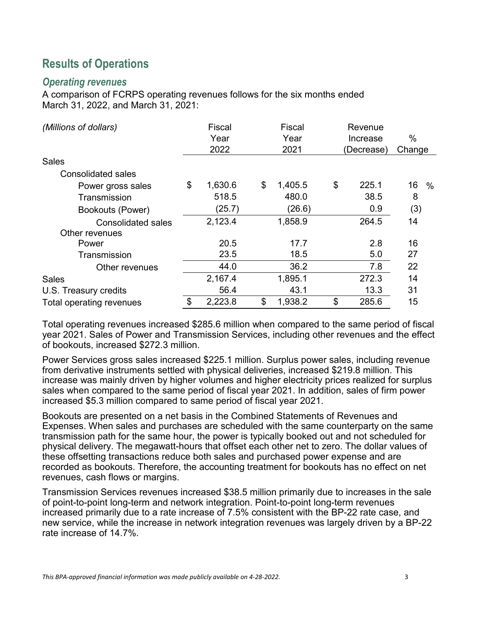## **Results of Operations**

#### *Operating revenues*

A comparison of FCRPS operating revenues follows for the six months ended March 31, 2022, and March 31, 2021:

| (Millions of dollars)     | Fiscal<br>Year | Fiscal<br>Year | Revenue<br>Increase | $\%$       |
|---------------------------|----------------|----------------|---------------------|------------|
|                           | 2022           | 2021           | (Decrease)          | Change     |
| <b>Sales</b>              |                |                |                     |            |
| <b>Consolidated sales</b> |                |                |                     |            |
| Power gross sales         | \$<br>1,630.6  | \$<br>1,405.5  | \$<br>225.1         | 16<br>$\%$ |
| Transmission              | 518.5          | 480.0          | 38.5                | 8          |
| Bookouts (Power)          | (25.7)         | (26.6)         | 0.9                 | (3)        |
| <b>Consolidated sales</b> | 2,123.4        | 1,858.9        | 264.5               | 14         |
| Other revenues            |                |                |                     |            |
| Power                     | 20.5           | 17.7           | 2.8                 | 16         |
| Transmission              | 23.5           | 18.5           | 5.0                 | 27         |
| Other revenues            | 44.0           | 36.2           | 7.8                 | 22         |
| <b>Sales</b>              | 2,167.4        | 1,895.1        | 272.3               | 14         |
| U.S. Treasury credits     | 56.4           | 43.1           | 13.3                | 31         |
| Total operating revenues  | \$<br>2,223.8  | \$<br>1,938.2  | \$<br>285.6         | 15         |

Total operating revenues increased \$285.6 million when compared to the same period of fiscal year 2021. Sales of Power and Transmission Services, including other revenues and the effect of bookouts, increased \$272.3 million.

Power Services gross sales increased \$225.1 million. Surplus power sales, including revenue from derivative instruments settled with physical deliveries, increased \$219.8 million. This increase was mainly driven by higher volumes and higher electricity prices realized for surplus sales when compared to the same period of fiscal year 2021. In addition, sales of firm power increased \$5.3 million compared to same period of fiscal year 2021.

Bookouts are presented on a net basis in the Combined Statements of Revenues and Expenses. When sales and purchases are scheduled with the same counterparty on the same transmission path for the same hour, the power is typically booked out and not scheduled for physical delivery. The megawatt-hours that offset each other net to zero. The dollar values of these offsetting transactions reduce both sales and purchased power expense and are recorded as bookouts. Therefore, the accounting treatment for bookouts has no effect on net revenues, cash flows or margins.

Transmission Services revenues increased \$38.5 million primarily due to increases in the sale of point-to-point long-term and network integration. Point-to-point long-term revenues increased primarily due to a rate increase of 7.5% consistent with the BP-22 rate case, and new service, while the increase in network integration revenues was largely driven by a BP-22 rate increase of 14.7%.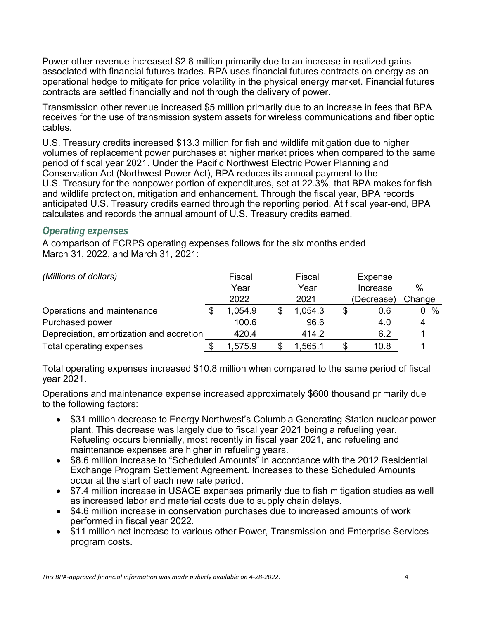Power other revenue increased \$2.8 million primarily due to an increase in realized gains associated with financial futures trades. BPA uses financial futures contracts on energy as an operational hedge to mitigate for price volatility in the physical energy market. Financial futures contracts are settled financially and not through the delivery of power.

Transmission other revenue increased \$5 million primarily due to an increase in fees that BPA receives for the use of transmission system assets for wireless communications and fiber optic cables.

U.S. Treasury credits increased \$13.3 million for fish and wildlife mitigation due to higher volumes of replacement power purchases at higher market prices when compared to the same period of fiscal year 2021. Under the Pacific Northwest Electric Power Planning and Conservation Act (Northwest Power Act), BPA reduces its annual payment to the U.S. Treasury for the nonpower portion of expenditures, set at 22.3%, that BPA makes for fish and wildlife protection, mitigation and enhancement. Through the fiscal year, BPA records anticipated U.S. Treasury credits earned through the reporting period. At fiscal year-end, BPA calculates and records the annual amount of U.S. Treasury credits earned.

#### *Operating expenses*

A comparison of FCRPS operating expenses follows for the six months ended March 31, 2022, and March 31, 2021:

| (Millions of dollars)                    | Fiscal  | Fiscal  | Expense    |         |
|------------------------------------------|---------|---------|------------|---------|
|                                          | Year    | Year    | Increase   | $\%$    |
|                                          | 2022    | 2021    | (Decrease) | Change  |
| Operations and maintenance               | 1,054.9 | 1,054.3 | 0.6        | %<br>0. |
| Purchased power                          | 100.6   | 96.6    | 4.0        | 4       |
| Depreciation, amortization and accretion | 420.4   | 414.2   | 6.2        |         |
| Total operating expenses                 | 1,575.9 | 1,565.1 | 10.8       |         |

Total operating expenses increased \$10.8 million when compared to the same period of fiscal year 2021.

Operations and maintenance expense increased approximately \$600 thousand primarily due to the following factors:

- \$31 million decrease to Energy Northwest's Columbia Generating Station nuclear power plant. This decrease was largely due to fiscal year 2021 being a refueling year. Refueling occurs biennially, most recently in fiscal year 2021, and refueling and maintenance expenses are higher in refueling years.
- \$8.6 million increase to "Scheduled Amounts" in accordance with the 2012 Residential Exchange Program Settlement Agreement. Increases to these Scheduled Amounts occur at the start of each new rate period.
- \$7.4 million increase in USACE expenses primarily due to fish mitigation studies as well as increased labor and material costs due to supply chain delays.
- \$4.6 million increase in conservation purchases due to increased amounts of work performed in fiscal year 2022.
- \$11 million net increase to various other Power, Transmission and Enterprise Services program costs.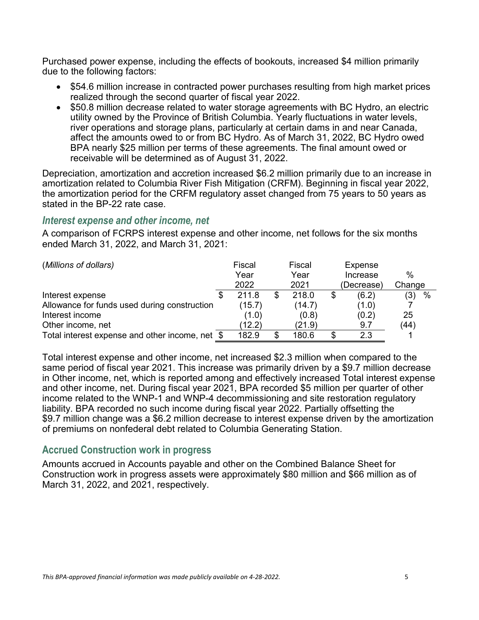Purchased power expense, including the effects of bookouts, increased \$4 million primarily due to the following factors:

- \$54.6 million increase in contracted power purchases resulting from high market prices realized through the second quarter of fiscal year 2022.
- \$50.8 million decrease related to water storage agreements with BC Hydro, an electric utility owned by the Province of British Columbia. Yearly fluctuations in water levels, river operations and storage plans, particularly at certain dams in and near Canada, affect the amounts owed to or from BC Hydro. As of March 31, 2022, BC Hydro owed BPA nearly \$25 million per terms of these agreements. The final amount owed or receivable will be determined as of August 31, 2022.

Depreciation, amortization and accretion increased \$6.2 million primarily due to an increase in amortization related to Columbia River Fish Mitigation (CRFM). Beginning in fiscal year 2022, the amortization period for the CRFM regulatory asset changed from 75 years to 50 years as stated in the BP-22 rate case.

#### *Interest expense and other income, net*

A comparison of FCRPS interest expense and other income, net follows for the six months ended March 31, 2022, and March 31, 2021:

| (Millions of dollars)                           |    | Fiscal<br>Year<br>2022 |    | Fiscal<br>Year<br>2021 | Expense<br>Increase<br>(Decrease) | %<br>Change |
|-------------------------------------------------|----|------------------------|----|------------------------|-----------------------------------|-------------|
| Interest expense                                | Ж, | 211.8                  |    | 218.0                  | \$<br>(6.2)                       | $\%$<br>(3) |
| Allowance for funds used during construction    |    | (15.7)                 |    | (14.7)                 | (1.0)                             |             |
| Interest income                                 |    | (1.0)                  |    | (0.8)                  | (0.2)                             | 25          |
| Other income, net                               |    | (12.2)                 |    | (21.9)                 | 9.7                               | (44)        |
| Total interest expense and other income, net \$ |    | 182.9                  | £. | 180.6                  | 2.3                               |             |

Total interest expense and other income, net increased \$2.3 million when compared to the same period of fiscal year 2021. This increase was primarily driven by a \$9.7 million decrease in Other income, net, which is reported among and effectively increased Total interest expense and other income, net. During fiscal year 2021, BPA recorded \$5 million per quarter of other income related to the WNP-1 and WNP-4 decommissioning and site restoration regulatory liability. BPA recorded no such income during fiscal year 2022. Partially offsetting the \$9.7 million change was a \$6.2 million decrease to interest expense driven by the amortization of premiums on nonfederal debt related to Columbia Generating Station.

#### **Accrued Construction work in progress**

Amounts accrued in Accounts payable and other on the Combined Balance Sheet for Construction work in progress assets were approximately \$80 million and \$66 million as of March 31, 2022, and 2021, respectively.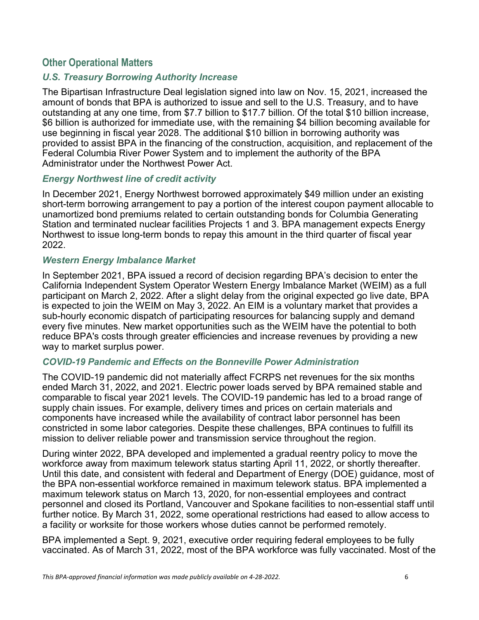#### **Other Operational Matters**

#### *U.S. Treasury Borrowing Authority Increase*

The Bipartisan Infrastructure Deal legislation signed into law on Nov. 15, 2021, increased the amount of bonds that BPA is authorized to issue and sell to the U.S. Treasury, and to have outstanding at any one time, from \$7.7 billion to \$17.7 billion. Of the total \$10 billion increase, \$6 billion is authorized for immediate use, with the remaining \$4 billion becoming available for use beginning in fiscal year 2028. The additional \$10 billion in borrowing authority was provided to assist BPA in the financing of the construction, acquisition, and replacement of the Federal Columbia River Power System and to implement the authority of the BPA Administrator under the Northwest Power Act.

#### *Energy Northwest line of credit activity*

In December 2021, Energy Northwest borrowed approximately \$49 million under an existing short-term borrowing arrangement to pay a portion of the interest coupon payment allocable to unamortized bond premiums related to certain outstanding bonds for Columbia Generating Station and terminated nuclear facilities Projects 1 and 3. BPA management expects Energy Northwest to issue long-term bonds to repay this amount in the third quarter of fiscal year 2022.

#### *Western Energy Imbalance Market*

In September 2021, BPA issued a record of decision regarding BPA's decision to enter the California Independent System Operator Western Energy Imbalance Market (WEIM) as a full participant on March 2, 2022. After a slight delay from the original expected go live date, BPA is expected to join the WEIM on May 3, 2022. An EIM is a voluntary market that provides a sub-hourly economic dispatch of participating resources for balancing supply and demand every five minutes. New market opportunities such as the WEIM have the potential to both reduce BPA's costs through greater efficiencies and increase revenues by providing a new way to market surplus power.

#### *COVID-19 Pandemic and Effects on the Bonneville Power Administration*

The COVID-19 pandemic did not materially affect FCRPS net revenues for the six months ended March 31, 2022, and 2021. Electric power loads served by BPA remained stable and comparable to fiscal year 2021 levels. The COVID-19 pandemic has led to a broad range of supply chain issues. For example, delivery times and prices on certain materials and components have increased while the availability of contract labor personnel has been constricted in some labor categories. Despite these challenges, BPA continues to fulfill its mission to deliver reliable power and transmission service throughout the region.

During winter 2022, BPA developed and implemented a gradual reentry policy to move the workforce away from maximum telework status starting April 11, 2022, or shortly thereafter. Until this date, and consistent with federal and Department of Energy (DOE) guidance, most of the BPA non-essential workforce remained in maximum telework status. BPA implemented a maximum telework status on March 13, 2020, for non-essential employees and contract personnel and closed its Portland, Vancouver and Spokane facilities to non-essential staff until further notice. By March 31, 2022, some operational restrictions had eased to allow access to a facility or worksite for those workers whose duties cannot be performed remotely.

BPA implemented a Sept. 9, 2021, executive order requiring federal employees to be fully vaccinated. As of March 31, 2022, most of the BPA workforce was fully vaccinated. Most of the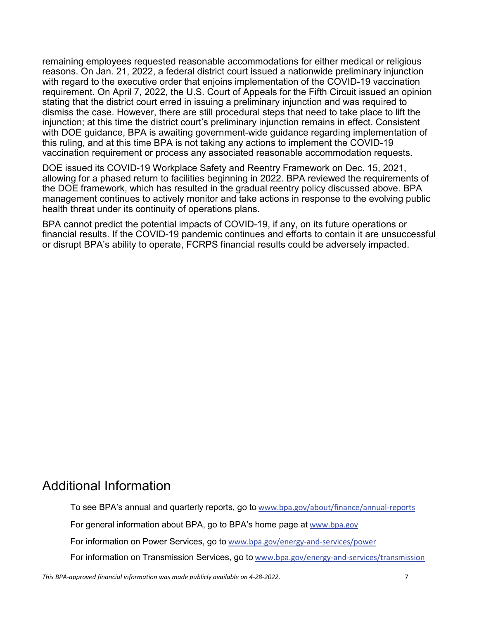remaining employees requested reasonable accommodations for either medical or religious reasons. On Jan. 21, 2022, a federal district court issued a nationwide preliminary injunction with regard to the executive order that enjoins implementation of the COVID-19 vaccination requirement. On April 7, 2022, the U.S. Court of Appeals for the Fifth Circuit issued an opinion stating that the district court erred in issuing a preliminary injunction and was required to dismiss the case. However, there are still procedural steps that need to take place to lift the injunction; at this time the district court's preliminary injunction remains in effect. Consistent with DOE guidance, BPA is awaiting government-wide guidance regarding implementation of this ruling, and at this time BPA is not taking any actions to implement the COVID-19 vaccination requirement or process any associated reasonable accommodation requests.

DOE issued its COVID-19 Workplace Safety and Reentry Framework on Dec. 15, 2021, allowing for a phased return to facilities beginning in 2022. BPA reviewed the requirements of the DOE framework, which has resulted in the gradual reentry policy discussed above. BPA management continues to actively monitor and take actions in response to the evolving public health threat under its continuity of operations plans.

BPA cannot predict the potential impacts of COVID-19, if any, on its future operations or financial results. If the COVID-19 pandemic continues and efforts to contain it are unsuccessful or disrupt BPA's ability to operate, FCRPS financial results could be adversely impacted.

## Additional Information

To see BPA's annual and quarterly reports, go to [www.bpa.gov/about/finance/annual-reports](https://www.bpa.gov/about/finance/annual-reports)

For general information about BPA, go to BPA's home page at [www.bpa.gov](http://www.bpa.gov/)

For information on Power Services, go to [www.bpa.gov/energy-and-services/power](https://www.bpa.gov/energy-and-services/power)

For information on Transmission Services, go to [www.bpa.gov/energy-and-services/transmission](https://www.bpa.gov/energy-and-services/transmission)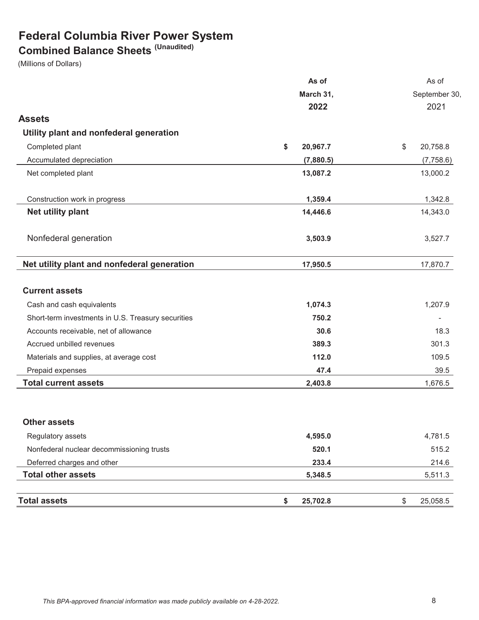## **Federal Columbia River Power System**

## **Combined Balance Sheets (Unaudited)**

(Millions of Dollars)

|                                                    | As of          | As of          |  |  |
|----------------------------------------------------|----------------|----------------|--|--|
|                                                    | March 31,      | September 30,  |  |  |
|                                                    | 2022           | 2021           |  |  |
| <b>Assets</b>                                      |                |                |  |  |
| Utility plant and nonfederal generation            |                |                |  |  |
| Completed plant                                    | \$<br>20,967.7 | 20,758.8<br>\$ |  |  |
| Accumulated depreciation                           | (7,880.5)      | (7,758.6)      |  |  |
| Net completed plant                                | 13,087.2       | 13,000.2       |  |  |
| Construction work in progress                      | 1,359.4        | 1,342.8        |  |  |
| Net utility plant                                  | 14,446.6       | 14,343.0       |  |  |
| Nonfederal generation                              | 3,503.9        | 3,527.7        |  |  |
| Net utility plant and nonfederal generation        | 17,950.5       | 17,870.7       |  |  |
| <b>Current assets</b>                              |                |                |  |  |
| Cash and cash equivalents                          | 1,074.3        | 1,207.9        |  |  |
| Short-term investments in U.S. Treasury securities | 750.2          | ÷              |  |  |
| Accounts receivable, net of allowance              | 30.6           | 18.3           |  |  |
| Accrued unbilled revenues                          | 389.3          | 301.3          |  |  |
| Materials and supplies, at average cost            | 112.0          | 109.5          |  |  |
| Prepaid expenses                                   | 47.4           | 39.5           |  |  |
| <b>Total current assets</b>                        | 2,403.8        | 1,676.5        |  |  |
| <b>Other assets</b>                                |                |                |  |  |
| Regulatory assets                                  | 4,595.0        | 4,781.5        |  |  |
| Nonfederal nuclear decommissioning trusts          | 520.1          | 515.2          |  |  |
| Deferred charges and other                         | 233.4          | 214.6          |  |  |
| <b>Total other assets</b>                          | 5,348.5        | 5,511.3        |  |  |
| <b>Total assets</b>                                | \$<br>25,702.8 | \$<br>25,058.5 |  |  |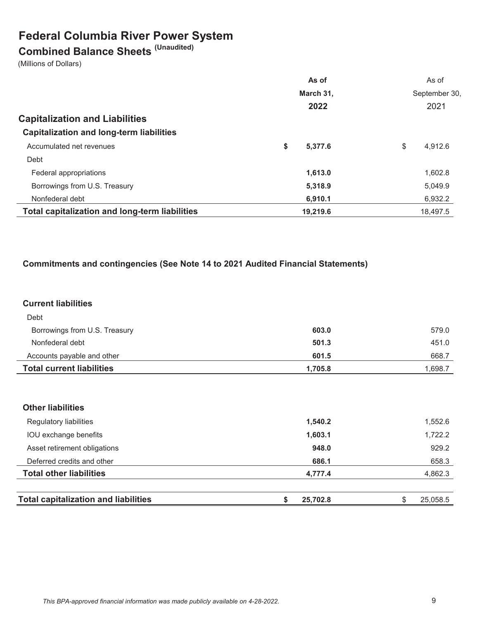## **Federal Columbia River Power System**

# **Combined Balance Sheets (Unaudited)**

(Millions of Dollars)

|                                                       | As of         | As of         |
|-------------------------------------------------------|---------------|---------------|
|                                                       | March 31,     | September 30, |
|                                                       | 2022          | 2021          |
| <b>Capitalization and Liabilities</b>                 |               |               |
| <b>Capitalization and long-term liabilities</b>       |               |               |
| Accumulated net revenues                              | \$<br>5.377.6 | \$<br>4.912.6 |
| Debt                                                  |               |               |
| Federal appropriations                                | 1,613.0       | 1,602.8       |
| Borrowings from U.S. Treasury                         | 5,318.9       | 5,049.9       |
| Nonfederal debt                                       | 6,910.1       | 6,932.2       |
| <b>Total capitalization and long-term liabilities</b> | 19,219.6      | 18.497.5      |

#### **Commitments and contingencies (See Note 14 to 2021 Audited Financial Statements)**

#### **Current liabilities**

| Debt                             |         |         |
|----------------------------------|---------|---------|
| Borrowings from U.S. Treasury    | 603.0   | 579.0   |
| Nonfederal debt                  | 501.3   | 451.0   |
| Accounts payable and other       | 601.5   | 668.7   |
| <b>Total current liabilities</b> | 1,705.8 | 1,698.7 |

| <b>Other liabilities</b>                    |                |                |
|---------------------------------------------|----------------|----------------|
| Regulatory liabilities                      | 1,540.2        | 1,552.6        |
| IOU exchange benefits                       | 1,603.1        | 1,722.2        |
| Asset retirement obligations                | 948.0          | 929.2          |
| Deferred credits and other                  | 686.1          | 658.3          |
| <b>Total other liabilities</b>              | 4,777.4        | 4,862.3        |
|                                             |                |                |
| <b>Total capitalization and liabilities</b> | 25,702.8<br>\$ | \$<br>25,058.5 |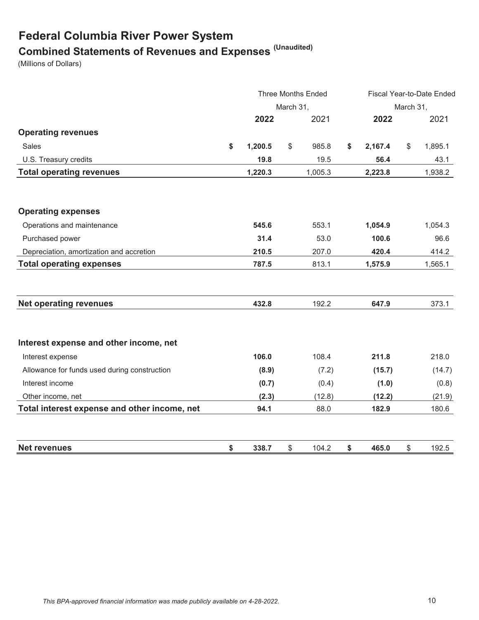## **Federal Columbia River Power System Combined Statements of Revenues and Expenses (Unaudited)**

(Millions of Dollars)

|                                              | <b>Three Months Ended</b> |           |    |         | Fiscal Year-to-Date Ended |           |    |         |
|----------------------------------------------|---------------------------|-----------|----|---------|---------------------------|-----------|----|---------|
|                                              |                           | March 31, |    |         |                           | March 31, |    |         |
|                                              |                           | 2022      |    | 2021    |                           | 2022      |    | 2021    |
| <b>Operating revenues</b>                    |                           |           |    |         |                           |           |    |         |
| <b>Sales</b>                                 | \$                        | 1,200.5   | \$ | 985.8   | \$                        | 2,167.4   | \$ | 1,895.1 |
| U.S. Treasury credits                        |                           | 19.8      |    | 19.5    |                           | 56.4      |    | 43.1    |
| <b>Total operating revenues</b>              |                           | 1,220.3   |    | 1,005.3 |                           | 2,223.8   |    | 1,938.2 |
|                                              |                           |           |    |         |                           |           |    |         |
| <b>Operating expenses</b>                    |                           |           |    |         |                           |           |    |         |
| Operations and maintenance                   |                           | 545.6     |    | 553.1   |                           | 1,054.9   |    | 1,054.3 |
| Purchased power                              |                           | 31.4      |    | 53.0    |                           | 100.6     |    | 96.6    |
| Depreciation, amortization and accretion     |                           | 210.5     |    | 207.0   |                           | 420.4     |    | 414.2   |
| <b>Total operating expenses</b>              |                           | 787.5     |    | 813.1   |                           | 1,575.9   |    | 1,565.1 |
|                                              |                           |           |    |         |                           |           |    |         |
| <b>Net operating revenues</b>                |                           | 432.8     |    | 192.2   |                           | 647.9     |    | 373.1   |
| Interest expense and other income, net       |                           |           |    |         |                           |           |    |         |
| Interest expense                             |                           | 106.0     |    | 108.4   |                           | 211.8     |    | 218.0   |
| Allowance for funds used during construction |                           | (8.9)     |    | (7.2)   |                           | (15.7)    |    | (14.7)  |
| Interest income                              |                           | (0.7)     |    | (0.4)   |                           | (1.0)     |    | (0.8)   |
| Other income, net                            |                           | (2.3)     |    | (12.8)  |                           | (12.2)    |    | (21.9)  |
| Total interest expense and other income, net |                           | 94.1      |    | 88.0    |                           | 182.9     |    | 180.6   |
| <b>Net revenues</b>                          | \$                        | 338.7     | \$ | 104.2   | \$                        | 465.0     | \$ | 192.5   |
|                                              |                           |           |    |         |                           |           |    |         |